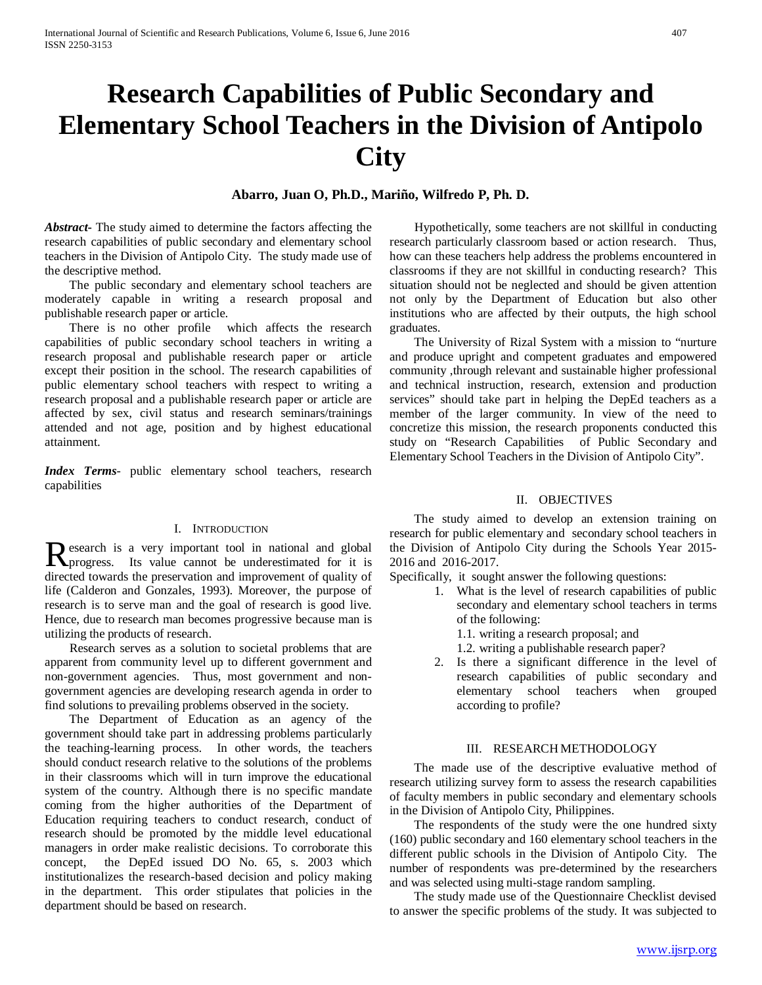# **Research Capabilities of Public Secondary and Elementary School Teachers in the Division of Antipolo City**

## **Abarro, Juan O, Ph.D., Mariño, Wilfredo P, Ph. D.**

*Abstract***-** The study aimed to determine the factors affecting the research capabilities of public secondary and elementary school teachers in the Division of Antipolo City. The study made use of the descriptive method.

 The public secondary and elementary school teachers are moderately capable in writing a research proposal and publishable research paper or article.

 There is no other profile which affects the research capabilities of public secondary school teachers in writing a research proposal and publishable research paper or article except their position in the school. The research capabilities of public elementary school teachers with respect to writing a research proposal and a publishable research paper or article are affected by sex, civil status and research seminars/trainings attended and not age, position and by highest educational attainment.

*Index Terms*- public elementary school teachers, research capabilities

#### I. INTRODUCTION

esearch is a very important tool in national and global Research is a very important tool in national and global progress. Its value cannot be underestimated for it is directed towards the preservation and improvement of quality of life (Calderon and Gonzales, 1993). Moreover, the purpose of research is to serve man and the goal of research is good live. Hence, due to research man becomes progressive because man is utilizing the products of research.

 Research serves as a solution to societal problems that are apparent from community level up to different government and non-government agencies. Thus, most government and nongovernment agencies are developing research agenda in order to find solutions to prevailing problems observed in the society.

 The Department of Education as an agency of the government should take part in addressing problems particularly the teaching-learning process. In other words, the teachers should conduct research relative to the solutions of the problems in their classrooms which will in turn improve the educational system of the country. Although there is no specific mandate coming from the higher authorities of the Department of Education requiring teachers to conduct research, conduct of research should be promoted by the middle level educational managers in order make realistic decisions. To corroborate this concept, the DepEd issued DO No. 65, s. 2003 which institutionalizes the research-based decision and policy making in the department. This order stipulates that policies in the department should be based on research.

 Hypothetically, some teachers are not skillful in conducting research particularly classroom based or action research. Thus, how can these teachers help address the problems encountered in classrooms if they are not skillful in conducting research? This situation should not be neglected and should be given attention not only by the Department of Education but also other institutions who are affected by their outputs, the high school graduates.

 The University of Rizal System with a mission to "nurture and produce upright and competent graduates and empowered community ,through relevant and sustainable higher professional and technical instruction, research, extension and production services" should take part in helping the DepEd teachers as a member of the larger community. In view of the need to concretize this mission, the research proponents conducted this study on "Research Capabilities of Public Secondary and Elementary School Teachers in the Division of Antipolo City".

#### II. OBJECTIVES

 The study aimed to develop an extension training on research for public elementary and secondary school teachers in the Division of Antipolo City during the Schools Year 2015- 2016 and 2016-2017.

Specifically, it sought answer the following questions:

- 1. What is the level of research capabilities of public secondary and elementary school teachers in terms of the following:
	- 1.1. writing a research proposal; and
	- 1.2. writing a publishable research paper?
- 2. Is there a significant difference in the level of research capabilities of public secondary and elementary school teachers when grouped according to profile?

#### III. RESEARCH METHODOLOGY

 The made use of the descriptive evaluative method of research utilizing survey form to assess the research capabilities of faculty members in public secondary and elementary schools in the Division of Antipolo City, Philippines.

 The respondents of the study were the one hundred sixty (160) public secondary and 160 elementary school teachers in the different public schools in the Division of Antipolo City. The number of respondents was pre-determined by the researchers and was selected using multi-stage random sampling.

 The study made use of the Questionnaire Checklist devised to answer the specific problems of the study. It was subjected to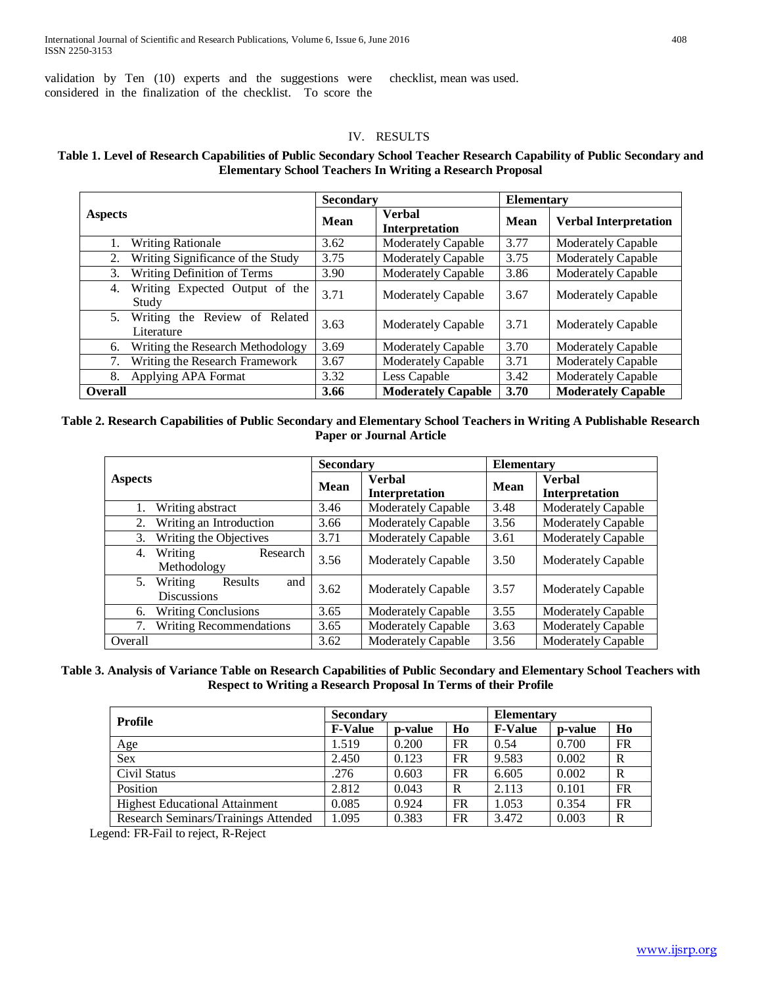validation by Ten (10) experts and the suggestions were considered in the finalization of the checklist. To score the

checklist, mean was used.

## IV. RESULTS

## **Table 1. Level of Research Capabilities of Public Secondary School Teacher Research Capability of Public Secondary and Elementary School Teachers In Writing a Research Proposal**

|                                                   | <b>Secondary</b> |                                        | <b>Elementary</b> |                              |  |
|---------------------------------------------------|------------------|----------------------------------------|-------------------|------------------------------|--|
| <b>Aspects</b>                                    | <b>Mean</b>      | <b>Verbal</b><br><b>Interpretation</b> | Mean              | <b>Verbal Interpretation</b> |  |
| <b>Writing Rationale</b><br>1.                    | 3.62             | <b>Moderately Capable</b>              | 3.77              | <b>Moderately Capable</b>    |  |
| Writing Significance of the Study<br>2.           | 3.75             | <b>Moderately Capable</b>              | 3.75              | <b>Moderately Capable</b>    |  |
| Writing Definition of Terms<br>3.                 | 3.90             | <b>Moderately Capable</b>              | 3.86              | <b>Moderately Capable</b>    |  |
| Writing Expected Output of the<br>4.<br>Study     | 3.71             | Moderately Capable                     | 3.67              | Moderately Capable           |  |
| Writing the Review of Related<br>5.<br>Literature | 3.63             | Moderately Capable                     | 3.71              | Moderately Capable           |  |
| Writing the Research Methodology<br>6.            | 3.69             | <b>Moderately Capable</b>              | 3.70              | <b>Moderately Capable</b>    |  |
| Writing the Research Framework<br>7.              | 3.67             | Moderately Capable                     | 3.71              | Moderately Capable           |  |
| Applying APA Format<br>8.                         | 3.32             | Less Capable                           | 3.42              | <b>Moderately Capable</b>    |  |
| <b>Overall</b>                                    | 3.66             | <b>Moderately Capable</b>              | 3.70              | <b>Moderately Capable</b>    |  |

## **Table 2. Research Capabilities of Public Secondary and Elementary School Teachers in Writing A Publishable Research Paper or Journal Article**

|                                                       | <b>Secondary</b> |                                 | <b>Elementary</b> |                                 |
|-------------------------------------------------------|------------------|---------------------------------|-------------------|---------------------------------|
| <b>Aspects</b>                                        | Mean             | <b>Verbal</b><br>Interpretation | Mean              | <b>Verbal</b><br>Interpretation |
| Writing abstract                                      | 3.46             | <b>Moderately Capable</b>       | 3.48              | Moderately Capable              |
| Writing an Introduction<br>2.                         | 3.66             | <b>Moderately Capable</b>       | 3.56              | Moderately Capable              |
| Writing the Objectives<br>3.                          | 3.71             | <b>Moderately Capable</b>       | 3.61              | <b>Moderately Capable</b>       |
| Writing<br>Research<br>4.<br>Methodology              | 3.56             | <b>Moderately Capable</b>       | 3.50              | <b>Moderately Capable</b>       |
| Writing<br>and<br>5.<br>Results<br><b>Discussions</b> | 3.62             | <b>Moderately Capable</b>       | 3.57              | <b>Moderately Capable</b>       |
| <b>Writing Conclusions</b><br>6.                      | 3.65             | <b>Moderately Capable</b>       | 3.55              | <b>Moderately Capable</b>       |
| <b>Writing Recommendations</b><br>7.                  | 3.65             | <b>Moderately Capable</b>       | 3.63              | <b>Moderately Capable</b>       |
| Overall                                               | 3.62             | <b>Moderately Capable</b>       | 3.56              | <b>Moderately Capable</b>       |

### **Table 3. Analysis of Variance Table on Research Capabilities of Public Secondary and Elementary School Teachers with Respect to Writing a Research Proposal In Terms of their Profile**

| Profile                               | <b>Secondary</b> |         |           | <b>Elementary</b> |         |             |
|---------------------------------------|------------------|---------|-----------|-------------------|---------|-------------|
|                                       | <b>F-Value</b>   | p-value | Ho        | <b>F-Value</b>    | p-value | Ho          |
| Age                                   | 1.519            | 0.200   | <b>FR</b> | 0.54              | 0.700   | FR          |
| <b>Sex</b>                            | 2.450            | 0.123   | FR        | 9.583             | 0.002   | R           |
| Civil Status                          | .276             | 0.603   | <b>FR</b> | 6.605             | 0.002   | $\mathbf R$ |
| Position                              | 2.812            | 0.043   | R         | 2.113             | 0.101   | FR          |
| <b>Highest Educational Attainment</b> | 0.085            | 0.924   | FR        | 1.053             | 0.354   | FR          |
| Research Seminars/Trainings Attended  | 1.095            | 0.383   | FR        | 3.472             | 0.003   | $\mathbf R$ |

Legend: FR-Fail to reject, R-Reject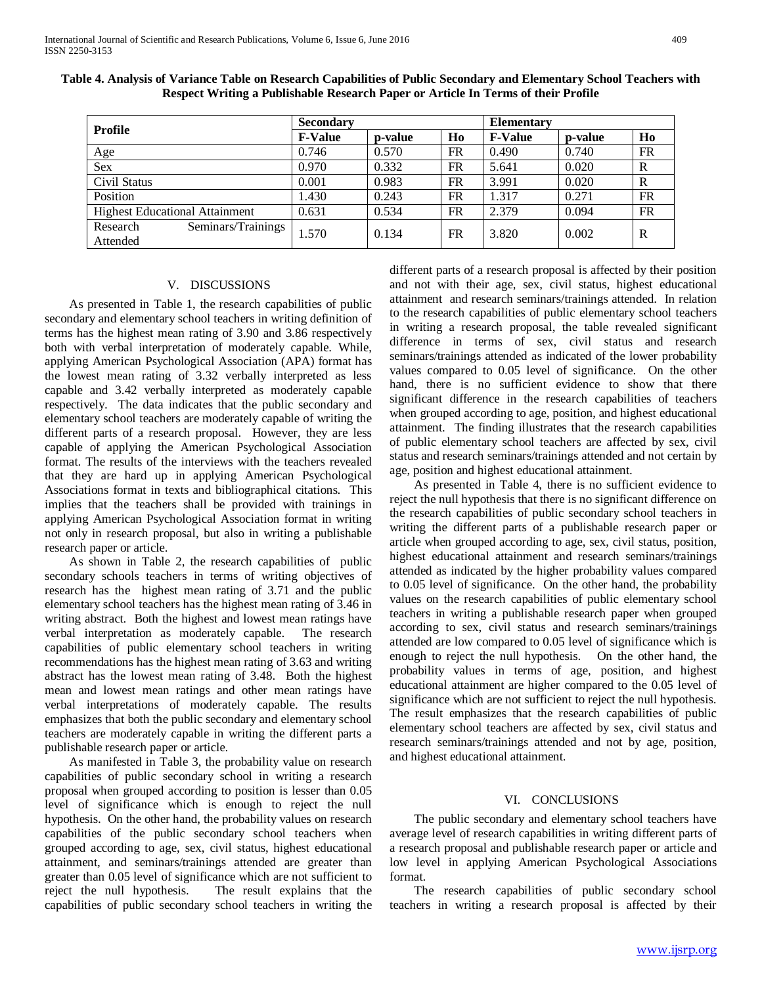| <b>Profile</b>                             | <b>Secondary</b> |         |           | <b>Elementary</b> |         |           |
|--------------------------------------------|------------------|---------|-----------|-------------------|---------|-----------|
|                                            | <b>F-Value</b>   | p-value | Ho        | <b>F-Value</b>    | p-value | Ho        |
| Age                                        | 0.746            | 0.570   | FR        | 0.490             | 0.740   | <b>FR</b> |
| <b>Sex</b>                                 | 0.970            | 0.332   | <b>FR</b> | 5.641             | 0.020   | R         |
| Civil Status                               | 0.001            | 0.983   | <b>FR</b> | 3.991             | 0.020   | R         |
| Position                                   | 1.430            | 0.243   | <b>FR</b> | 1.317             | 0.271   | <b>FR</b> |
| <b>Highest Educational Attainment</b>      | 0.631            | 0.534   | <b>FR</b> | 2.379             | 0.094   | <b>FR</b> |
| Seminars/Trainings<br>Research<br>Attended | 1.570            | 0.134   | FR        | 3.820             | 0.002   | R         |

**Table 4. Analysis of Variance Table on Research Capabilities of Public Secondary and Elementary School Teachers with Respect Writing a Publishable Research Paper or Article In Terms of their Profile**

#### V. DISCUSSIONS

 As presented in Table 1, the research capabilities of public secondary and elementary school teachers in writing definition of terms has the highest mean rating of 3.90 and 3.86 respectively both with verbal interpretation of moderately capable. While, applying American Psychological Association (APA) format has the lowest mean rating of 3.32 verbally interpreted as less capable and 3.42 verbally interpreted as moderately capable respectively. The data indicates that the public secondary and elementary school teachers are moderately capable of writing the different parts of a research proposal. However, they are less capable of applying the American Psychological Association format. The results of the interviews with the teachers revealed that they are hard up in applying American Psychological Associations format in texts and bibliographical citations. This implies that the teachers shall be provided with trainings in applying American Psychological Association format in writing not only in research proposal, but also in writing a publishable research paper or article.

 As shown in Table 2, the research capabilities of public secondary schools teachers in terms of writing objectives of research has the highest mean rating of 3.71 and the public elementary school teachers has the highest mean rating of 3.46 in writing abstract. Both the highest and lowest mean ratings have verbal interpretation as moderately capable. The research capabilities of public elementary school teachers in writing recommendations has the highest mean rating of 3.63 and writing abstract has the lowest mean rating of 3.48. Both the highest mean and lowest mean ratings and other mean ratings have verbal interpretations of moderately capable. The results emphasizes that both the public secondary and elementary school teachers are moderately capable in writing the different parts a publishable research paper or article.

 As manifested in Table 3, the probability value on research capabilities of public secondary school in writing a research proposal when grouped according to position is lesser than 0.05 level of significance which is enough to reject the null hypothesis. On the other hand, the probability values on research capabilities of the public secondary school teachers when grouped according to age, sex, civil status, highest educational attainment, and seminars/trainings attended are greater than greater than 0.05 level of significance which are not sufficient to reject the null hypothesis. The result explains that the The result explains that the capabilities of public secondary school teachers in writing the different parts of a research proposal is affected by their position and not with their age, sex, civil status, highest educational attainment and research seminars/trainings attended. In relation to the research capabilities of public elementary school teachers in writing a research proposal, the table revealed significant difference in terms of sex, civil status and research seminars/trainings attended as indicated of the lower probability values compared to 0.05 level of significance. On the other hand, there is no sufficient evidence to show that there significant difference in the research capabilities of teachers when grouped according to age, position, and highest educational attainment. The finding illustrates that the research capabilities of public elementary school teachers are affected by sex, civil status and research seminars/trainings attended and not certain by age, position and highest educational attainment.

 As presented in Table 4, there is no sufficient evidence to reject the null hypothesis that there is no significant difference on the research capabilities of public secondary school teachers in writing the different parts of a publishable research paper or article when grouped according to age, sex, civil status, position, highest educational attainment and research seminars/trainings attended as indicated by the higher probability values compared to 0.05 level of significance. On the other hand, the probability values on the research capabilities of public elementary school teachers in writing a publishable research paper when grouped according to sex, civil status and research seminars/trainings attended are low compared to 0.05 level of significance which is enough to reject the null hypothesis. On the other hand, the probability values in terms of age, position, and highest educational attainment are higher compared to the 0.05 level of significance which are not sufficient to reject the null hypothesis. The result emphasizes that the research capabilities of public elementary school teachers are affected by sex, civil status and research seminars/trainings attended and not by age, position, and highest educational attainment.

#### VI. CONCLUSIONS

 The public secondary and elementary school teachers have average level of research capabilities in writing different parts of a research proposal and publishable research paper or article and low level in applying American Psychological Associations format.

 The research capabilities of public secondary school teachers in writing a research proposal is affected by their